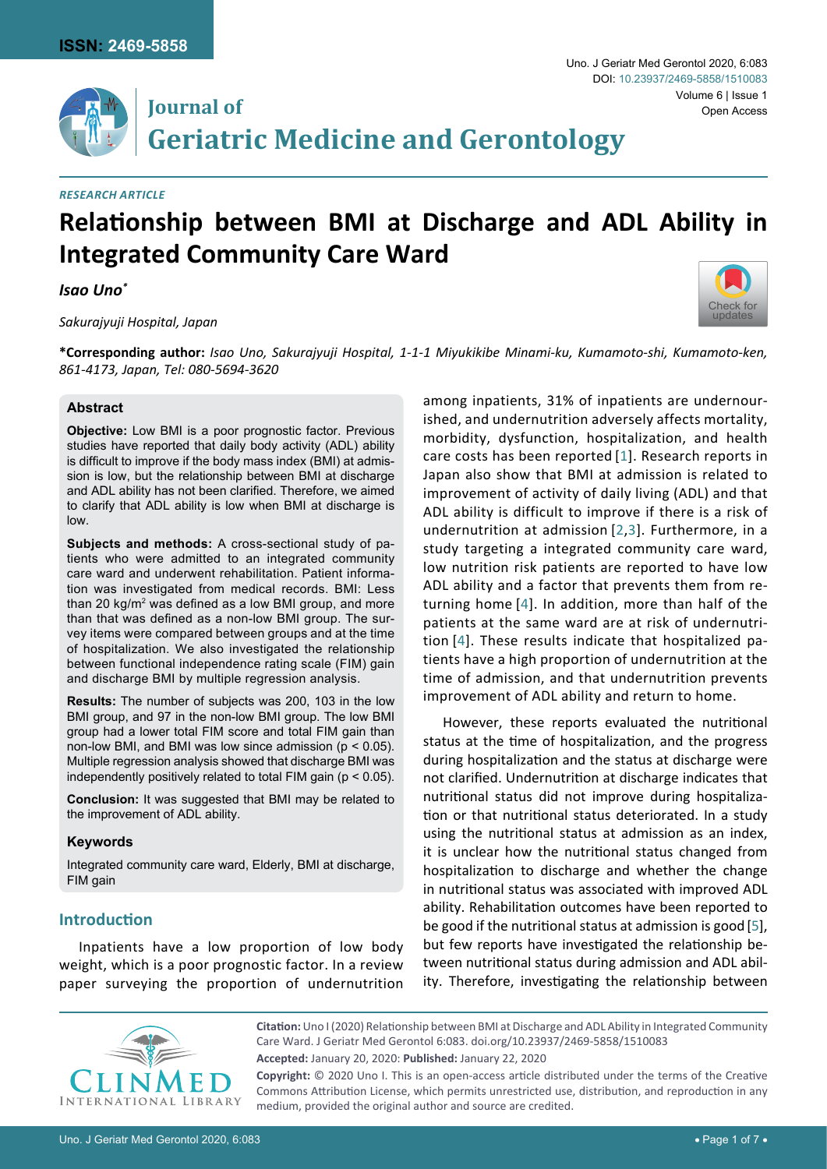**Journal of**



# **Geriatric Medicine and Gerontology**

#### *Research Article*

# **Relationship between BMI at Discharge and ADL Ability in Integrated Community Care Ward**

#### *Isao Uno\**

#### *Sakurajyuji Hospital, Japan*



**\*Corresponding author:** *Isao Uno, Sakurajyuji Hospital, 1-1-1 Miyukikibe Minami-ku, Kumamoto-shi, Kumamoto-ken, 861-4173, Japan, Tel: 080-5694-3620*

#### **Abstract**

**Objective:** Low BMI is a poor prognostic factor. Previous studies have reported that daily body activity (ADL) ability is difficult to improve if the body mass index (BMI) at admission is low, but the relationship between BMI at discharge and ADL ability has not been clarified. Therefore, we aimed to clarify that ADL ability is low when BMI at discharge is low.

**Subjects and methods:** A cross-sectional study of patients who were admitted to an integrated community care ward and underwent rehabilitation. Patient information was investigated from medical records. BMI: Less than 20 kg/ $m<sup>2</sup>$  was defined as a low BMI group, and more than that was defined as a non-low BMI group. The survey items were compared between groups and at the time of hospitalization. We also investigated the relationship between functional independence rating scale (FIM) gain and discharge BMI by multiple regression analysis.

**Results:** The number of subjects was 200, 103 in the low BMI group, and 97 in the non-low BMI group. The low BMI group had a lower total FIM score and total FIM gain than non-low BMI, and BMI was low since admission (p < 0.05). Multiple regression analysis showed that discharge BMI was independently positively related to total FIM gain ( $p < 0.05$ ).

**Conclusion:** It was suggested that BMI may be related to the improvement of ADL ability.

#### **Keywords**

Integrated community care ward, Elderly, BMI at discharge, FIM gain

#### **Introduction**

Inpatients have a low proportion of low body weight, which is a poor prognostic factor. In a review paper surveying the proportion of undernutrition among inpatients, 31% of inpatients are undernourished, and undernutrition adversely affects mortality, morbidity, dysfunction, hospitalization, and health care costs has been reported [[1](#page-6-0)]. Research reports in Japan also show that BMI at admission is related to improvement of activity of daily living (ADL) and that ADL ability is difficult to improve if there is a risk of undernutrition at admission [[2](#page-6-1)[,3](#page-6-2)]. Furthermore, in a study targeting a integrated community care ward, low nutrition risk patients are reported to have low ADL ability and a factor that prevents them from returning home [[4\]](#page-6-3). In addition, more than half of the patients at the same ward are at risk of undernutrition [[4](#page-6-3)]. These results indicate that hospitalized patients have a high proportion of undernutrition at the time of admission, and that undernutrition prevents improvement of ADL ability and return to home.

However, these reports evaluated the nutritional status at the time of hospitalization, and the progress during hospitalization and the status at discharge were not clarified. Undernutrition at discharge indicates that nutritional status did not improve during hospitalization or that nutritional status deteriorated. In a study using the nutritional status at admission as an index, it is unclear how the nutritional status changed from hospitalization to discharge and whether the change in nutritional status was associated with improved ADL ability. Rehabilitation outcomes have been reported to be good if the nutritional status at admission is good[[5\]](#page-6-4), but few reports have investigated the relationship between nutritional status during admission and ADL ability. Therefore, investigating the relationship between



**Citation:** Uno I (2020) Relationship between BMI at Discharge and ADL Ability in Integrated Community Care Ward. J Geriatr Med Gerontol 6:083. [doi.org/10.23937/2469-5858/1510083](https://doi.org/10.23937/2469-5858/1510083) **Accepted:** January 20, 2020: **Published:** January 22, 2020

**Copyright:** © 2020 Uno I. This is an open-access article distributed under the terms of the Creative Commons Attribution License, which permits unrestricted use, distribution, and reproduction in any medium, provided the original author and source are credited.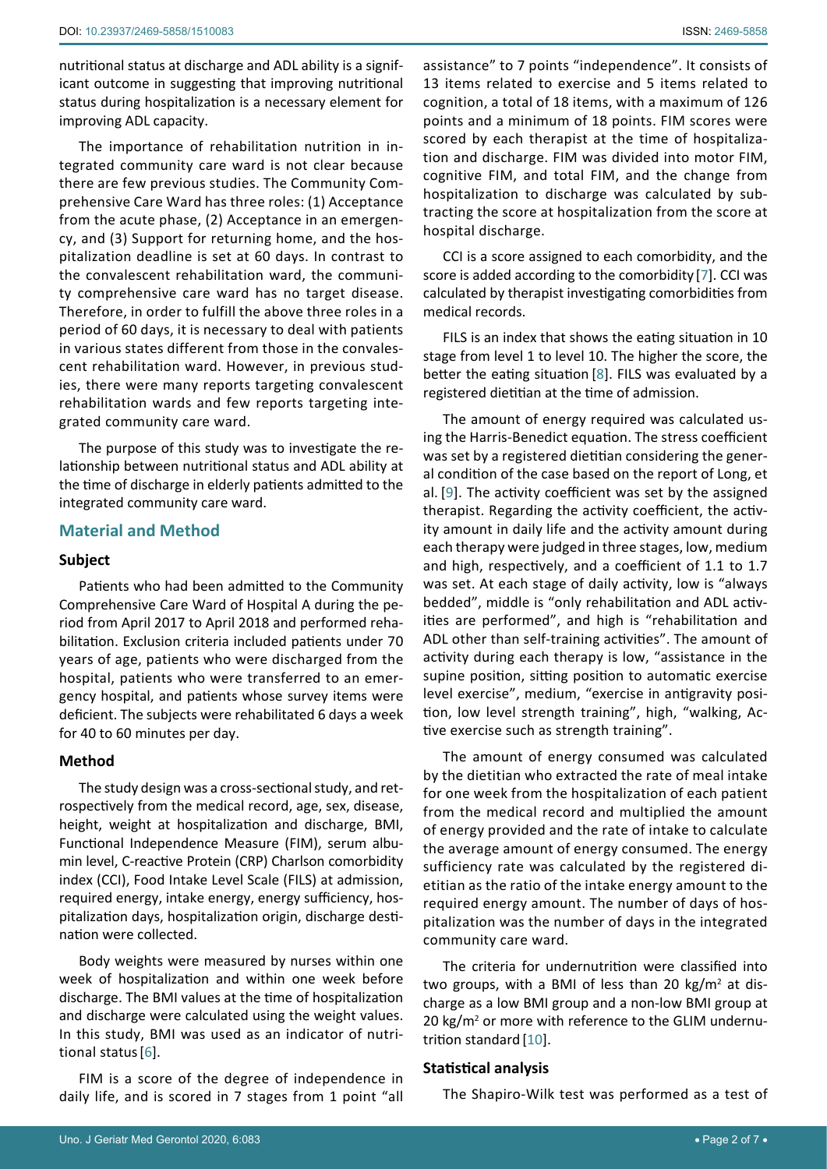nutritional status at discharge and ADL ability is a significant outcome in suggesting that improving nutritional status during hospitalization is a necessary element for improving ADL capacity.

The importance of rehabilitation nutrition in integrated community care ward is not clear because there are few previous studies. The Community Comprehensive Care Ward has three roles: (1) Acceptance from the acute phase, (2) Acceptance in an emergency, and (3) Support for returning home, and the hospitalization deadline is set at 60 days. In contrast to the convalescent rehabilitation ward, the community comprehensive care ward has no target disease. Therefore, in order to fulfill the above three roles in a period of 60 days, it is necessary to deal with patients in various states different from those in the convalescent rehabilitation ward. However, in previous studies, there were many reports targeting convalescent rehabilitation wards and few reports targeting integrated community care ward.

The purpose of this study was to investigate the relationship between nutritional status and ADL ability at the time of discharge in elderly patients admitted to the integrated community care ward.

### **Material and Method**

#### **Subject**

Patients who had been admitted to the Community Comprehensive Care Ward of Hospital A during the period from April 2017 to April 2018 and performed rehabilitation. Exclusion criteria included patients under 70 years of age, patients who were discharged from the hospital, patients who were transferred to an emergency hospital, and patients whose survey items were deficient. The subjects were rehabilitated 6 days a week for 40 to 60 minutes per day.

#### **Method**

The study design was a cross-sectional study, and retrospectively from the medical record, age, sex, disease, height, weight at hospitalization and discharge, BMI, Functional Independence Measure (FIM), serum albumin level, C-reactive Protein (CRP) Charlson comorbidity index (CCI), Food Intake Level Scale (FILS) at admission, required energy, intake energy, energy sufficiency, hospitalization days, hospitalization origin, discharge destination were collected.

Body weights were measured by nurses within one week of hospitalization and within one week before discharge. The BMI values at the time of hospitalization and discharge were calculated using the weight values. In this study, BMI was used as an indicator of nutritional status[[6\]](#page-6-9).

FIM is a score of the degree of independence in daily life, and is scored in 7 stages from 1 point "all assistance" to 7 points "independence". It consists of 13 items related to exercise and 5 items related to cognition, a total of 18 items, with a maximum of 126 points and a minimum of 18 points. FIM scores were scored by each therapist at the time of hospitalization and discharge. FIM was divided into motor FIM, cognitive FIM, and total FIM, and the change from hospitalization to discharge was calculated by subtracting the score at hospitalization from the score at hospital discharge.

CCI is a score assigned to each comorbidity, and the score is added according to the comorbidity [[7](#page-6-5)]. CCI was calculated by therapist investigating comorbidities from medical records.

FILS is an index that shows the eating situation in 10 stage from level 1 to level 10. The higher the score, the better the eating situation [[8](#page-6-6)]. FILS was evaluated by a registered dietitian at the time of admission.

The amount of energy required was calculated using the Harris-Benedict equation. The stress coefficient was set by a registered dietitian considering the general condition of the case based on the report of Long, et al. [[9\]](#page-6-7). The activity coefficient was set by the assigned therapist. Regarding the activity coefficient, the activity amount in daily life and the activity amount during each therapy were judged in three stages, low, medium and high, respectively, and a coefficient of 1.1 to 1.7 was set. At each stage of daily activity, low is "always bedded", middle is "only rehabilitation and ADL activities are performed", and high is "rehabilitation and ADL other than self-training activities". The amount of activity during each therapy is low, "assistance in the supine position, sitting position to automatic exercise level exercise", medium, "exercise in antigravity position, low level strength training", high, "walking, Active exercise such as strength training".

The amount of energy consumed was calculated by the dietitian who extracted the rate of meal intake for one week from the hospitalization of each patient from the medical record and multiplied the amount of energy provided and the rate of intake to calculate the average amount of energy consumed. The energy sufficiency rate was calculated by the registered dietitian as the ratio of the intake energy amount to the required energy amount. The number of days of hospitalization was the number of days in the integrated community care ward.

The criteria for undernutrition were classified into two groups, with a BMI of less than 20 kg/m<sup>2</sup> at discharge as a low BMI group and a non-low BMI group at 20 kg/m<sup>2</sup> or more with reference to the GLIM undernutrition standard [[10\]](#page-6-8).

#### **Statistical analysis**

The Shapiro-Wilk test was performed as a test of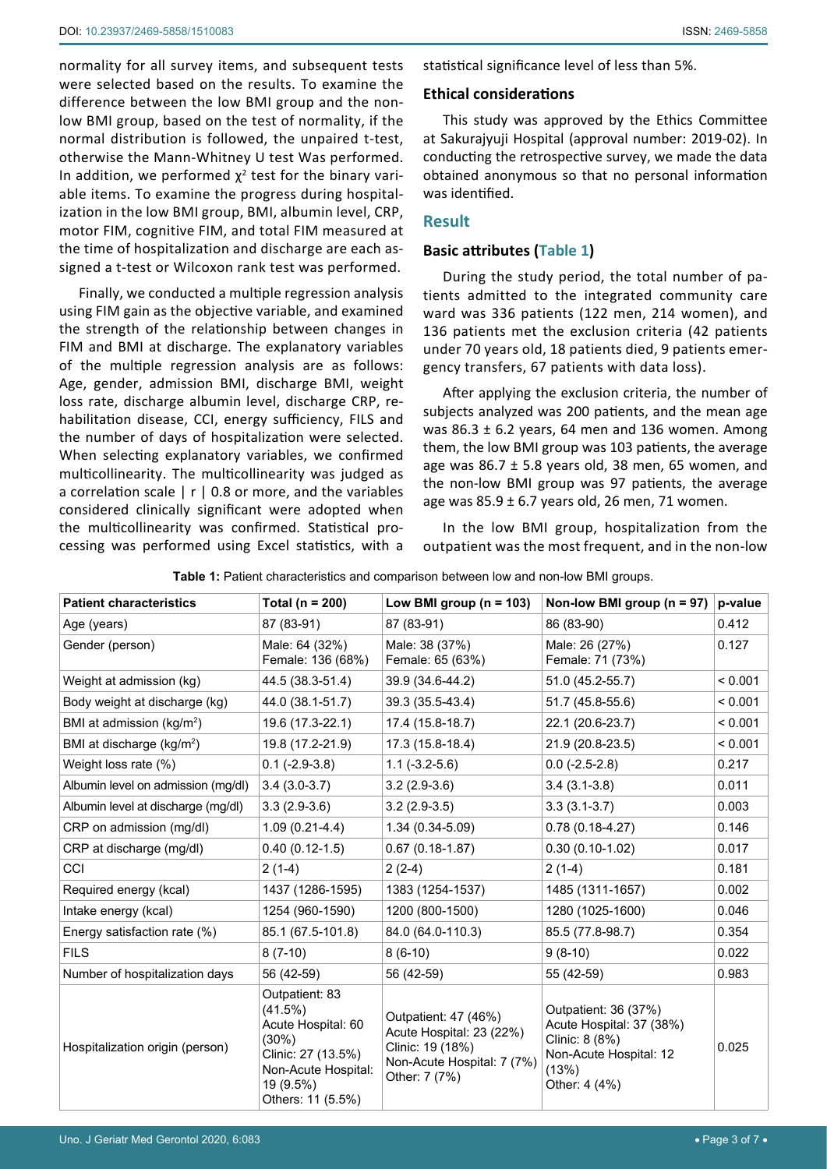normality for all survey items, and subsequent tests were selected based on the results. To examine the difference between the low BMI group and the nonlow BMI group, based on the test of normality, if the normal distribution is followed, the unpaired t-test, otherwise the Mann-Whitney U test Was performed. In addition, we performed  $\chi^2$  test for the binary variable items. To examine the progress during hospitalization in the low BMI group, BMI, albumin level, CRP, motor FIM, cognitive FIM, and total FIM measured at the time of hospitalization and discharge are each assigned a t-test or Wilcoxon rank test was performed.

Finally, we conducted a multiple regression analysis using FIM gain as the objective variable, and examined the strength of the relationship between changes in FIM and BMI at discharge. The explanatory variables of the multiple regression analysis are as follows: Age, gender, admission BMI, discharge BMI, weight loss rate, discharge albumin level, discharge CRP, rehabilitation disease, CCI, energy sufficiency, FILS and the number of days of hospitalization were selected. When selecting explanatory variables, we confirmed multicollinearity. The multicollinearity was judged as a correlation scale  $\mid r \mid 0.8$  or more, and the variables considered clinically significant were adopted when the multicollinearity was confirmed. Statistical processing was performed using Excel statistics, with a statistical significance level of less than 5%.

#### **Ethical considerations**

This study was approved by the Ethics Committee at Sakurajyuji Hospital (approval number: 2019-02). In conducting the retrospective survey, we made the data obtained anonymous so that no personal information was identified.

#### **Result**

#### **Basic attributes [\(Table 1](#page-2-0))**

During the study period, the total number of patients admitted to the integrated community care ward was 336 patients (122 men, 214 women), and 136 patients met the exclusion criteria (42 patients under 70 years old, 18 patients died, 9 patients emergency transfers, 67 patients with data loss).

After applying the exclusion criteria, the number of subjects analyzed was 200 patients, and the mean age was 86.3  $\pm$  6.2 years, 64 men and 136 women. Among them, the low BMI group was 103 patients, the average age was  $86.7 \pm 5.8$  years old, 38 men, 65 women, and the non-low BMI group was 97 patients, the average age was  $85.9 \pm 6.7$  years old, 26 men, 71 women.

In the low BMI group, hospitalization from the outpatient was the most frequent, and in the non-low

<span id="page-2-0"></span>

|  |  | Table 1: Patient characteristics and comparison between low and non-low BMI groups. |  |  |  |  |  |
|--|--|-------------------------------------------------------------------------------------|--|--|--|--|--|
|--|--|-------------------------------------------------------------------------------------|--|--|--|--|--|

| <b>Patient characteristics</b>        | Total ( $n = 200$ )                                                                                                                     | Low BMI group ( $n = 103$ )                                                                                         | Non-low BMI group ( $n = 97$ )                                                                                         | p-value |
|---------------------------------------|-----------------------------------------------------------------------------------------------------------------------------------------|---------------------------------------------------------------------------------------------------------------------|------------------------------------------------------------------------------------------------------------------------|---------|
| Age (years)                           | 87 (83-91)                                                                                                                              | 87 (83-91)                                                                                                          | 86 (83-90)                                                                                                             | 0.412   |
| Gender (person)                       | Male: 64 (32%)<br>Female: 136 (68%)                                                                                                     | Male: 38 (37%)<br>Female: 65 (63%)                                                                                  | Male: 26 (27%)<br>Female: 71 (73%)                                                                                     | 0.127   |
| Weight at admission (kg)              | 44.5 (38.3-51.4)                                                                                                                        | 39.9 (34.6-44.2)                                                                                                    | 51.0 (45.2-55.7)                                                                                                       | < 0.001 |
| Body weight at discharge (kg)         | 44.0 (38.1-51.7)                                                                                                                        | 39.3 (35.5-43.4)                                                                                                    | 51.7 (45.8-55.6)                                                                                                       | < 0.001 |
| BMI at admission (kg/m <sup>2</sup> ) | 19.6 (17.3-22.1)                                                                                                                        | 17.4 (15.8-18.7)                                                                                                    | 22.1 (20.6-23.7)                                                                                                       | < 0.001 |
| BMI at discharge (kg/m <sup>2</sup> ) | 19.8 (17.2-21.9)                                                                                                                        | 17.3 (15.8-18.4)                                                                                                    | 21.9 (20.8-23.5)                                                                                                       | < 0.001 |
| Weight loss rate (%)                  | $0.1$ (-2.9-3.8)                                                                                                                        | $1.1(-3.2-5.6)$                                                                                                     | $0.0$ (-2.5-2.8)                                                                                                       | 0.217   |
| Albumin level on admission (mg/dl)    | $3.4(3.0-3.7)$                                                                                                                          | $3.2(2.9-3.6)$                                                                                                      | $3.4(3.1-3.8)$                                                                                                         | 0.011   |
| Albumin level at discharge (mg/dl)    | $3.3(2.9-3.6)$                                                                                                                          | $3.2(2.9-3.5)$                                                                                                      | $3.3(3.1-3.7)$                                                                                                         | 0.003   |
| CRP on admission (mg/dl)              | $1.09(0.21-4.4)$                                                                                                                        | 1.34 (0.34-5.09)                                                                                                    | $0.78(0.18-4.27)$                                                                                                      | 0.146   |
| CRP at discharge (mg/dl)              | $0.40(0.12-1.5)$                                                                                                                        | $0.67(0.18-1.87)$                                                                                                   | $0.30(0.10-1.02)$                                                                                                      | 0.017   |
| <b>CCI</b>                            | $2(1-4)$                                                                                                                                | $2(2-4)$                                                                                                            | $2(1-4)$                                                                                                               | 0.181   |
| Required energy (kcal)                | 1437 (1286-1595)                                                                                                                        | 1383 (1254-1537)                                                                                                    | 1485 (1311-1657)                                                                                                       | 0.002   |
| Intake energy (kcal)                  | 1254 (960-1590)                                                                                                                         | 1200 (800-1500)                                                                                                     | 1280 (1025-1600)                                                                                                       | 0.046   |
| Energy satisfaction rate (%)          | 85.1 (67.5-101.8)                                                                                                                       | 84.0 (64.0-110.3)                                                                                                   | 85.5 (77.8-98.7)                                                                                                       | 0.354   |
| <b>FILS</b>                           | $8(7-10)$                                                                                                                               | $8(6-10)$                                                                                                           | $9(8-10)$                                                                                                              | 0.022   |
| Number of hospitalization days        | 56 (42-59)                                                                                                                              | 56 (42-59)                                                                                                          | 55 (42-59)                                                                                                             | 0.983   |
| Hospitalization origin (person)       | Outpatient: 83<br>(41.5%)<br>Acute Hospital: 60<br>(30%)<br>Clinic: 27 (13.5%)<br>Non-Acute Hospital:<br>19 (9.5%)<br>Others: 11 (5.5%) | Outpatient: 47 (46%)<br>Acute Hospital: 23 (22%)<br>Clinic: 19 (18%)<br>Non-Acute Hospital: 7 (7%)<br>Other: 7 (7%) | Outpatient: 36 (37%)<br>Acute Hospital: 37 (38%)<br>Clinic: 8 (8%)<br>Non-Acute Hospital: 12<br>(13%)<br>Other: 4 (4%) | 0.025   |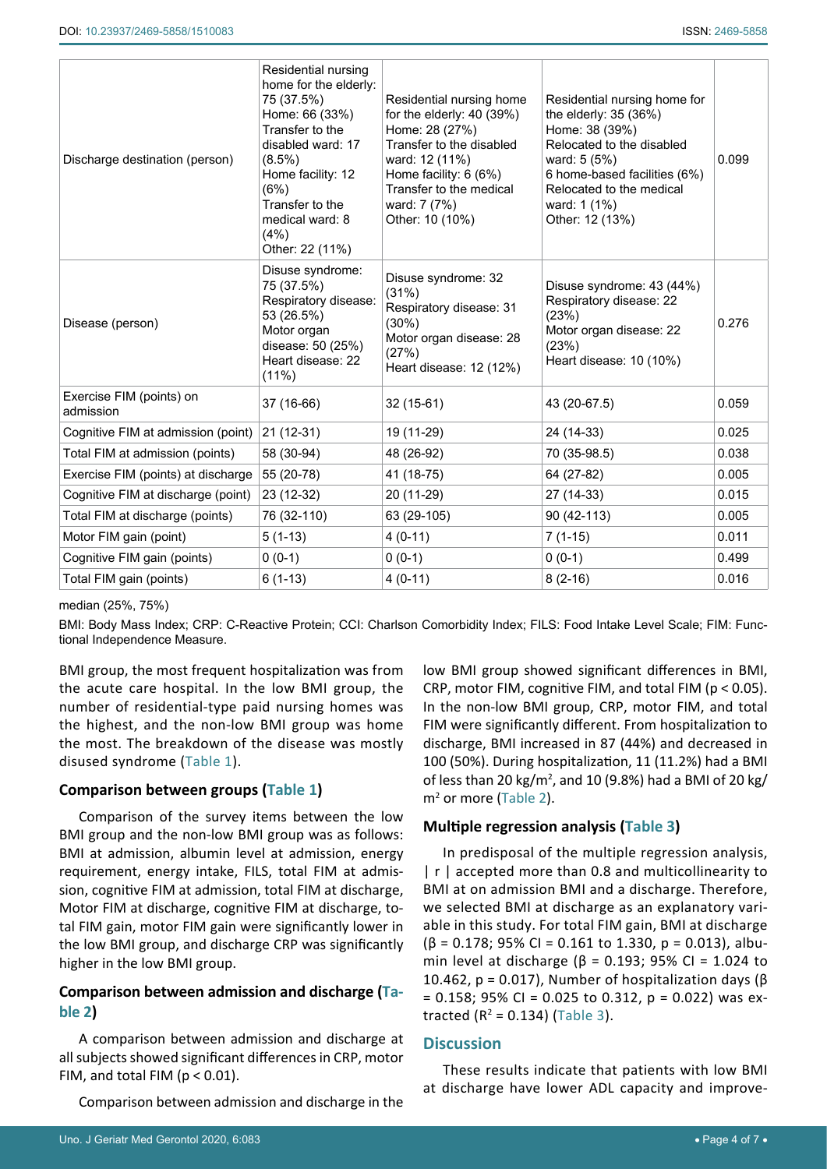| Discharge destination (person)        | Residential nursing<br>home for the elderly:<br>75 (37.5%)<br>Home: 66 (33%)<br>Transfer to the<br>disabled ward: 17<br>$(8.5\%)$<br>Home facility: 12<br>(6%)<br>Transfer to the<br>medical ward: 8<br>(4%)<br>Other: 22 (11%) | Residential nursing home<br>for the elderly: $40$ (39%)<br>Home: 28 (27%)<br>Transfer to the disabled<br>ward: 12 (11%)<br>Home facility: 6 (6%)<br>Transfer to the medical<br>ward: 7 (7%)<br>Other: 10 (10%) | Residential nursing home for<br>the elderly: 35 (36%)<br>Home: 38 (39%)<br>Relocated to the disabled<br>ward: 5 (5%)<br>6 home-based facilities (6%)<br>Relocated to the medical<br>ward: 1 (1%)<br>Other: 12 (13%) | 0.099 |
|---------------------------------------|---------------------------------------------------------------------------------------------------------------------------------------------------------------------------------------------------------------------------------|----------------------------------------------------------------------------------------------------------------------------------------------------------------------------------------------------------------|---------------------------------------------------------------------------------------------------------------------------------------------------------------------------------------------------------------------|-------|
| Disease (person)                      | Disuse syndrome:<br>75 (37.5%)<br>Respiratory disease:<br>53 (26.5%)<br>Motor organ<br>disease: 50 (25%)<br>Heart disease: 22<br>(11%)                                                                                          | Disuse syndrome: 32<br>(31%)<br>Respiratory disease: 31<br>$(30\%)$<br>Motor organ disease: 28<br>(27%)<br>Heart disease: 12 (12%)                                                                             | Disuse syndrome: 43 (44%)<br>Respiratory disease: 22<br>(23%)<br>Motor organ disease: 22<br>(23%)<br>Heart disease: 10 (10%)                                                                                        | 0.276 |
| Exercise FIM (points) on<br>admission | 37 (16-66)                                                                                                                                                                                                                      | 32 (15-61)                                                                                                                                                                                                     | 43 (20-67.5)                                                                                                                                                                                                        | 0.059 |
| Cognitive FIM at admission (point)    | $21(12-31)$                                                                                                                                                                                                                     | 19 (11-29)                                                                                                                                                                                                     | 24 (14-33)                                                                                                                                                                                                          | 0.025 |
| Total FIM at admission (points)       | 58 (30-94)                                                                                                                                                                                                                      | 48 (26-92)                                                                                                                                                                                                     | 70 (35-98.5)                                                                                                                                                                                                        | 0.038 |
| Exercise FIM (points) at discharge    | 55 (20-78)                                                                                                                                                                                                                      | 41 (18-75)                                                                                                                                                                                                     | 64 (27-82)                                                                                                                                                                                                          | 0.005 |
| Cognitive FIM at discharge (point)    | 23 (12-32)                                                                                                                                                                                                                      | 27 (14-33)<br>20 (11-29)                                                                                                                                                                                       |                                                                                                                                                                                                                     | 0.015 |
| Total FIM at discharge (points)       | 76 (32-110)                                                                                                                                                                                                                     | 90 (42-113)<br>63 (29-105)                                                                                                                                                                                     |                                                                                                                                                                                                                     | 0.005 |
| Motor FIM gain (point)                | $5(1-13)$                                                                                                                                                                                                                       | $4(0-11)$<br>$7(1-15)$                                                                                                                                                                                         |                                                                                                                                                                                                                     | 0.011 |
| Cognitive FIM gain (points)           | $0(0-1)$                                                                                                                                                                                                                        | $0(0-1)$                                                                                                                                                                                                       | $0(0-1)$                                                                                                                                                                                                            | 0.499 |
| Total FIM gain (points)               | $6(1-13)$                                                                                                                                                                                                                       | $4(0-11)$                                                                                                                                                                                                      | $8(2-16)$                                                                                                                                                                                                           | 0.016 |

#### median (25%, 75%)

BMI: Body Mass Index; CRP: C-Reactive Protein; CCI: Charlson Comorbidity Index; FILS: Food Intake Level Scale; FIM: Functional Independence Measure.

BMI group, the most frequent hospitalization was from the acute care hospital. In the low BMI group, the number of residential-type paid nursing homes was the highest, and the non-low BMI group was home the most. The breakdown of the disease was mostly disused syndrome [\(Table 1](#page-2-0)).

### **Comparison between groups [\(Table 1](#page-2-0))**

Comparison of the survey items between the low BMI group and the non-low BMI group was as follows: BMI at admission, albumin level at admission, energy requirement, energy intake, FILS, total FIM at admission, cognitive FIM at admission, total FIM at discharge, Motor FIM at discharge, cognitive FIM at discharge, total FIM gain, motor FIM gain were significantly lower in the low BMI group, and discharge CRP was significantly higher in the low BMI group.

# **Comparison between admission and discharge ([Ta](#page-4-0)[ble 2](#page-4-0))**

A comparison between admission and discharge at all subjects showed significant differences in CRP, motor FIM, and total FIM ( $p < 0.01$ ).

Comparison between admission and discharge in the

low BMI group showed significant differences in BMI, CRP, motor FIM, cognitive FIM, and total FIM (p < 0.05). In the non-low BMI group, CRP, motor FIM, and total FIM were significantly different. From hospitalization to discharge, BMI increased in 87 (44%) and decreased in 100 (50%). During hospitalization, 11 (11.2%) had a BMI of less than 20 kg/m<sup>2</sup> , and 10 (9.8%) had a BMI of 20 kg/ m<sup>2</sup> or more [\(Table 2\)](#page-4-0).

# **Multiple regression analysis [\(Table 3](#page-5-0))**

In predisposal of the multiple regression analysis, | r | accepted more than 0.8 and multicollinearity to BMI at on admission BMI and a discharge. Therefore, we selected BMI at discharge as an explanatory variable in this study. For total FIM gain, BMI at discharge  $(\beta = 0.178; 95\% \text{ Cl} = 0.161 \text{ to } 1.330, \text{ p} = 0.013), \text{albu-}$ min level at discharge ( $β = 0.193$ ; 95% CI = 1.024 to 10.462,  $p = 0.017$ ), Number of hospitalization days (β  $= 0.158$ ; 95% CI = 0.025 to 0.312, p = 0.022) was extracted ( $R^2 = 0.134$ ) ([Table 3\)](#page-5-0).

### **Discussion**

These results indicate that patients with low BMI at discharge have lower ADL capacity and improve-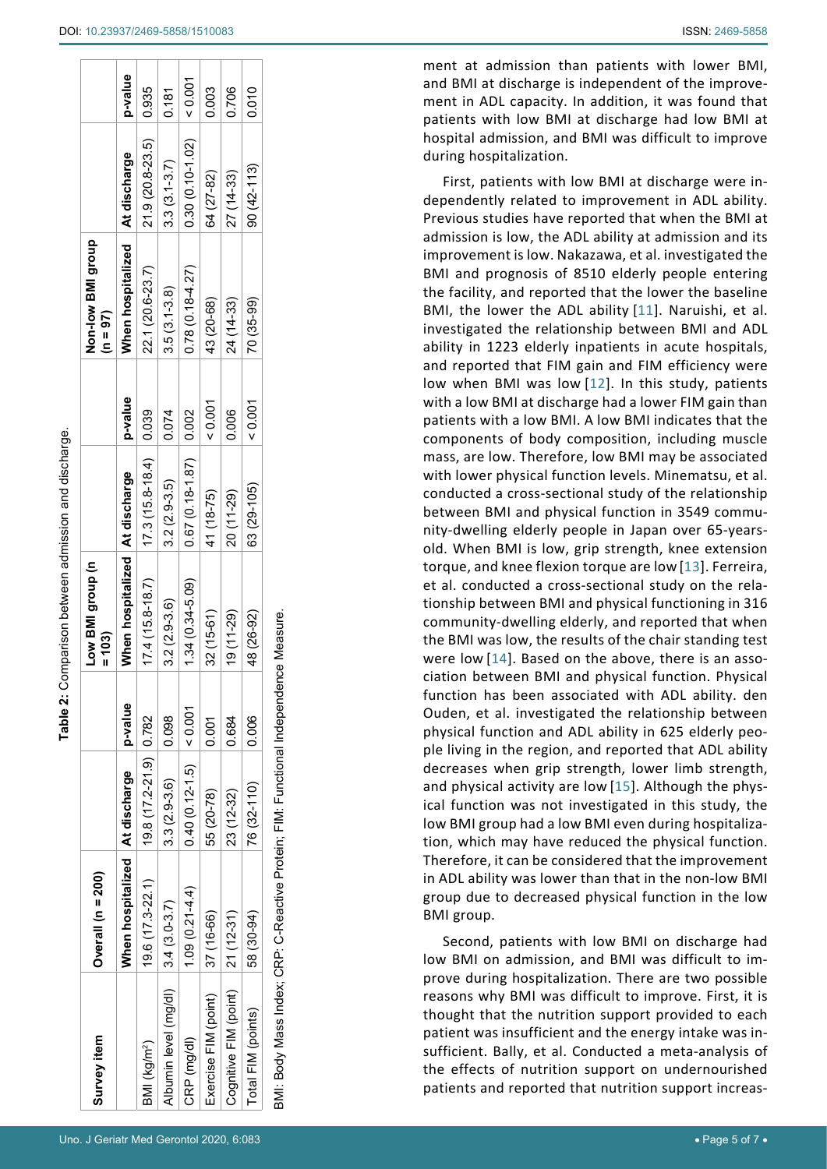| Survey item                                                                          | Overall ( $n = 200$ )          |                        |         | u) dno.b [MB worl<br>$= 103$     |                         |         | Non-low BMI group<br>$(n = 97)$ |                   |         |
|--------------------------------------------------------------------------------------|--------------------------------|------------------------|---------|----------------------------------|-------------------------|---------|---------------------------------|-------------------|---------|
|                                                                                      | When hospitalized At discharge |                        | p-value | When hospitalized   At discharge |                         | p-value | When hospitalized At discharge  |                   | p-value |
| BMI (kg/m <sup>2</sup> )                                                             | $19.6(17.3-22.1)$              | 19.8 (17.2-21.9) 0.782 |         | $17.4(15.8 - 18.7)$              | $17.3(15.8-18.4)$ 0.039 |         | 22.1 (20.6-23.7)                | 21.9 (20.8-23.5)  | 0.935   |
| Albumin level (mg/dl)                                                                | $3.4(3.0-3.7)$                 | $3.3(2.9-3.6)$         | 0.098   | $3.2(2.9-3.6)$                   | $3.2(2.9-3.5)$          | 0.074   | $3.5(3.1 - 3.8)$                | $3.3(3.1 - 3.7)$  | 0.181   |
| CRP (mg/dl)                                                                          | $1.09(0.21-4.4)$               | $0.40(0.12 - 1.5)$     | 0.001   | $1.34(0.34-5.09)$                | $0.67(0.18-1.87)$ 0.002 |         | $0.78(0.18-4.27)$               | $0.30(0.10-1.02)$ | 0.001   |
| Exercise FIM (point)                                                                 | 37 (16-66)                     | 55 (20-78)             | 0.001   | $32(15-61)$                      | 41 (18-75)              | 0.001   | 43 (20-68)                      | 64 (27-82)        | 0.003   |
| Cognitive FIM (point)                                                                | $21(12-31)$                    | 23 (12-32)             | 0.684   | $19(11-29)$                      | 20 (11-29)              | 0.006   | 24 (14-33)                      | $27(14-33)$       | 0.706   |
| Total FIM (points)                                                                   | 58 (30-94)                     | 76 (32-110)            | 0.006   | 48 (26-92)                       | 63 (29-105)             | 0.007   | 70 (35-99)                      | $90(42 - 113)$    | 0.010   |
| 3MI: Body Mass Index; CRP: C-Reactive Protein; FIM: Functional Independence Measure. |                                |                        |         |                                  |                         |         |                                 |                   |         |

Table 2: Comparison between admission and discharge. **Table 2:** Comparison between admission and discharge.

<span id="page-4-0"></span>BMI: Body Mass Index; CRP: C-Reactive Protein; FIM: Functional Independence Measure. ပ္ပ Independer Body Mass Index; CRP: C-Reactive Protein; FIM: Functional ment at admission than patients with lower BMI, and BMI at discharge is independent of the improve ment in ADL capacity. In addition, it was found that patients with low BMI at discharge had low BMI at hospital admission, and BMI was difficult to improve during hospitalization.

First, patients with low BMI at discharge were in dependently related to improvement in ADL ability. Previous studies have reported that when the BMI at admission is low, the ADL ability at admission and its improvement is low. Nakazawa, et al. investigated the BMI and prognosis of 8510 elderly people entering the facility, and reported that the lower the baseline BMI, the lower the ADL ability [[11\]](#page-6-10). Naruishi, et al. investigated the relationship between BMI and ADL ability in 1223 elderly inpatients in acute hospitals, and reported that FIM gain and FIM efficiency were low when BMI was low [[12](#page-6-11)]. In this study, patients with a low BMI at discharge had a lower FIM gain than patients with a low BMI. A low BMI indicates that the components of body composition, including muscle mass, are low. Therefore, low BMI may be associated with lower physical function levels. Minematsu, et al. conducted a cross-sectional study of the relationship between BMI and physical function in 3549 commu nity-dwelling elderly people in Japan over 65-yearsold. When BMI is low, grip strength, knee extension torque, and knee flexion torque are low [[13](#page-6-12)]. Ferreira, et al. conducted a cross-sectional study on the rela tionship between BMI and physical functioning in 316 community-dwelling elderly, and reported that when the BMI was low, the results of the chair standing test were low [[14](#page-6-13)]. Based on the above, there is an association between BMI and physical function. Physical function has been associated with ADL ability. den Ouden, et al. investigated the relationship between physical function and ADL ability in 625 elderly peo ple living in the region, and reported that ADL ability decreases when grip strength, lower limb strength, and physical activity are low [[15](#page-6-14)]. Although the phys ical function was not investigated in this study, the low BMI group had a low BMI even during hospitaliza tion, which may have reduced the physical function. Therefore, it can be considered that the improvement in ADL ability was lower than that in the non-low BMI group due to decreased physical function in the low BMI group.

Second, patients with low BMI on discharge had low BMI on admission, and BMI was difficult to im prove during hospitalization. There are two possible reasons why BMI was difficult to improve. First, it is thought that the nutrition support provided to each patient was insufficient and the energy intake was in sufficient. Bally, et al. Conducted a meta-analysis of the effects of nutrition support on undernourished patients and reported that nutrition support increas -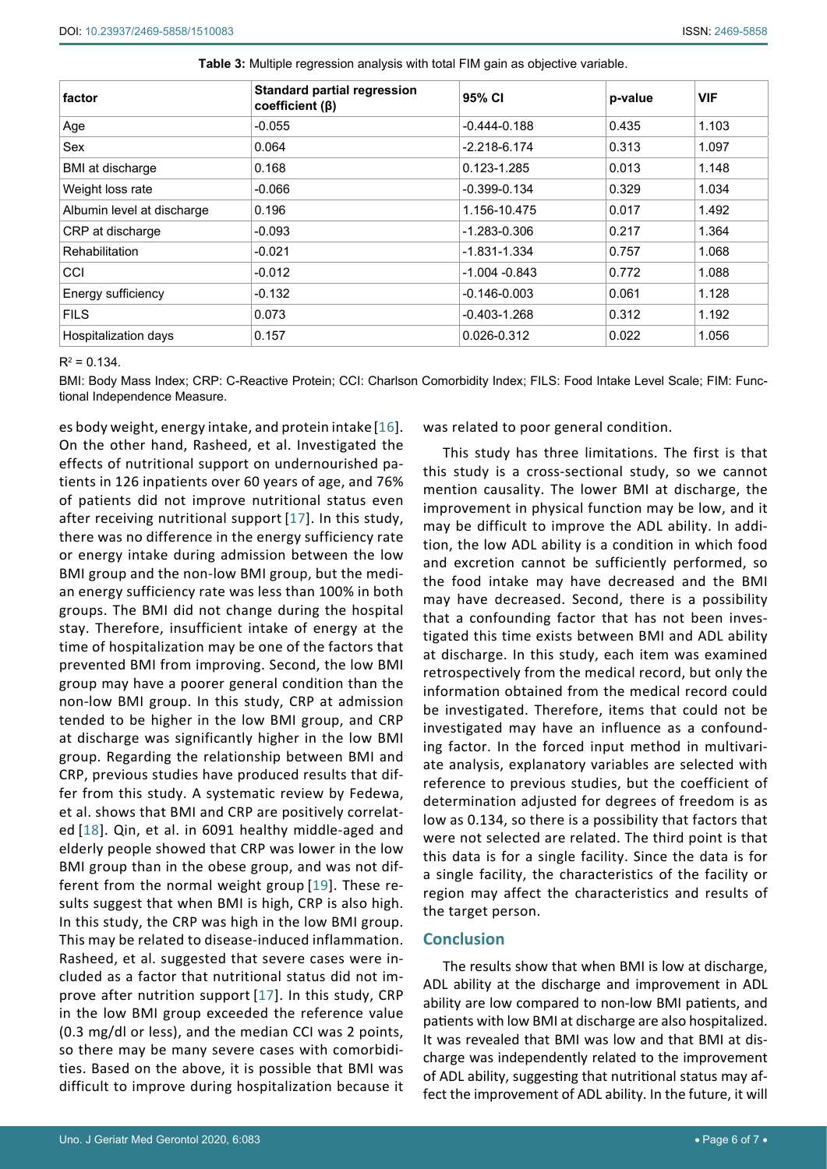| factor                     | <b>Standard partial regression</b><br>coefficient $(\beta)$ | 95% CI           | p-value | <b>VIF</b> |
|----------------------------|-------------------------------------------------------------|------------------|---------|------------|
| Age                        | $-0.055$                                                    | $-0.444 - 0.188$ | 0.435   | 1.103      |
| Sex                        | 0.064                                                       | $-2.218-6.174$   | 0.313   | 1.097      |
| BMI at discharge           | 0.168                                                       | $0.123 - 1.285$  | 0.013   | 1.148      |
| Weight loss rate           | $-0.066$                                                    | $-0.399 - 0.134$ | 0.329   | 1.034      |
| Albumin level at discharge | 0.196                                                       | 1.156-10.475     | 0.017   | 1.492      |
| CRP at discharge           | $-0.093$                                                    | -1.283-0.306     | 0.217   | 1.364      |
| <b>Rehabilitation</b>      | $-0.021$                                                    | $-1.831 - 1.334$ | 0.757   | 1.068      |
| CCI                        | $-0.012$                                                    | $-1.004 - 0.843$ | 0.772   | 1.088      |
| Energy sufficiency         | $-0.132$                                                    | $-0.146 - 0.003$ | 0.061   | 1.128      |
| <b>FILS</b>                | 0.073                                                       | $-0.403 - 1.268$ | 0.312   | 1.192      |
| Hospitalization days       | 0.157                                                       | $0.026 - 0.312$  | 0.022   | 1.056      |

<span id="page-5-0"></span>**Table 3:** Multiple regression analysis with total FIM gain as objective variable.

 $R^2 = 0.134$ .

BMI: Body Mass Index; CRP: C-Reactive Protein; CCI: Charlson Comorbidity Index; FILS: Food Intake Level Scale; FIM: Functional Independence Measure.

es body weight, energy intake, and protein intake[[16](#page-6-15)]. On the other hand, Rasheed, et al. Investigated the effects of nutritional support on undernourished patients in 126 inpatients over 60 years of age, and 76% of patients did not improve nutritional status even after receiving nutritional support [[17](#page-6-16)]. In this study, there was no difference in the energy sufficiency rate or energy intake during admission between the low BMI group and the non-low BMI group, but the median energy sufficiency rate was less than 100% in both groups. The BMI did not change during the hospital stay. Therefore, insufficient intake of energy at the time of hospitalization may be one of the factors that prevented BMI from improving. Second, the low BMI group may have a poorer general condition than the non-low BMI group. In this study, CRP at admission tended to be higher in the low BMI group, and CRP at discharge was significantly higher in the low BMI group. Regarding the relationship between BMI and CRP, previous studies have produced results that differ from this study. A systematic review by Fedewa, et al. shows that BMI and CRP are positively correlated [[18\]](#page-6-17). Qin, et al. in 6091 healthy middle-aged and elderly people showed that CRP was lower in the low BMI group than in the obese group, and was not different from the normal weight group [[19\]](#page-6-18). These results suggest that when BMI is high, CRP is also high. In this study, the CRP was high in the low BMI group. This may be related to disease-induced inflammation. Rasheed, et al. suggested that severe cases were included as a factor that nutritional status did not improve after nutrition support [[17\]](#page-6-16). In this study, CRP in the low BMI group exceeded the reference value (0.3 mg/dl or less), and the median CCI was 2 points, so there may be many severe cases with comorbidities. Based on the above, it is possible that BMI was difficult to improve during hospitalization because it

was related to poor general condition.

This study has three limitations. The first is that this study is a cross-sectional study, so we cannot mention causality. The lower BMI at discharge, the improvement in physical function may be low, and it may be difficult to improve the ADL ability. In addition, the low ADL ability is a condition in which food and excretion cannot be sufficiently performed, so the food intake may have decreased and the BMI may have decreased. Second, there is a possibility that a confounding factor that has not been investigated this time exists between BMI and ADL ability at discharge. In this study, each item was examined retrospectively from the medical record, but only the information obtained from the medical record could be investigated. Therefore, items that could not be investigated may have an influence as a confounding factor. In the forced input method in multivariate analysis, explanatory variables are selected with reference to previous studies, but the coefficient of determination adjusted for degrees of freedom is as low as 0.134, so there is a possibility that factors that were not selected are related. The third point is that this data is for a single facility. Since the data is for a single facility, the characteristics of the facility or region may affect the characteristics and results of the target person.

### **Conclusion**

The results show that when BMI is low at discharge, ADL ability at the discharge and improvement in ADL ability are low compared to non-low BMI patients, and patients with low BMI at discharge are also hospitalized. It was revealed that BMI was low and that BMI at discharge was independently related to the improvement of ADL ability, suggesting that nutritional status may affect the improvement of ADL ability. In the future, it will